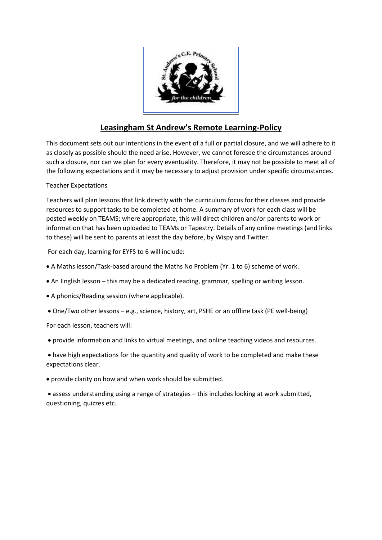

# **Leasingham St Andrew's Remote Learning-Policy**

This document sets out our intentions in the event of a full or partial closure, and we will adhere to it as closely as possible should the need arise. However, we cannot foresee the circumstances around such a closure, nor can we plan for every eventuality. Therefore, it may not be possible to meet all of the following expectations and it may be necessary to adjust provision under specific circumstances.

## Teacher Expectations

Teachers will plan lessons that link directly with the curriculum focus for their classes and provide resources to support tasks to be completed at home. A summary of work for each class will be posted weekly on TEAMS; where appropriate, this will direct children and/or parents to work or information that has been uploaded to TEAMs or Tapestry. Details of any online meetings (and links to these) will be sent to parents at least the day before, by Wispy and Twitter.

For each day, learning for EYFS to 6 will include:

- A Maths lesson/Task-based around the Maths No Problem (Yr. 1 to 6) scheme of work.
- An English lesson this may be a dedicated reading, grammar, spelling or writing lesson.
- A phonics/Reading session (where applicable).
- One/Two other lessons e.g., science, history, art, PSHE or an offline task (PE well-being)

For each lesson, teachers will:

• provide information and links to virtual meetings, and online teaching videos and resources.

• have high expectations for the quantity and quality of work to be completed and make these expectations clear.

• provide clarity on how and when work should be submitted.

• assess understanding using a range of strategies – this includes looking at work submitted, questioning, quizzes etc.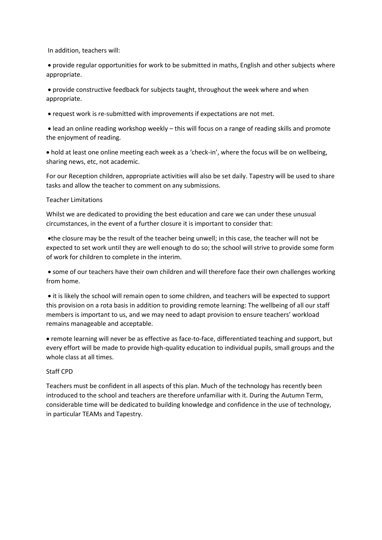In addition, teachers will:

• provide regular opportunities for work to be submitted in maths, English and other subjects where appropriate.

• provide constructive feedback for subjects taught, throughout the week where and when appropriate.

• request work is re-submitted with improvements if expectations are not met.

• lead an online reading workshop weekly – this will focus on a range of reading skills and promote the enjoyment of reading.

• hold at least one online meeting each week as a 'check-in', where the focus will be on wellbeing, sharing news, etc, not academic.

For our Reception children, appropriate activities will also be set daily. Tapestry will be used to share tasks and allow the teacher to comment on any submissions.

#### Teacher Limitations

Whilst we are dedicated to providing the best education and care we can under these unusual circumstances, in the event of a further closure it is important to consider that:

•the closure may be the result of the teacher being unwell; in this case, the teacher will not be expected to set work until they are well enough to do so; the school will strive to provide some form of work for children to complete in the interim.

• some of our teachers have their own children and will therefore face their own challenges working from home.

• it is likely the school will remain open to some children, and teachers will be expected to support this provision on a rota basis in addition to providing remote learning: The wellbeing of all our staff members is important to us, and we may need to adapt provision to ensure teachers' workload remains manageable and acceptable.

• remote learning will never be as effective as face-to-face, differentiated teaching and support, but every effort will be made to provide high-quality education to individual pupils, small groups and the whole class at all times.

## Staff CPD

Teachers must be confident in all aspects of this plan. Much of the technology has recently been introduced to the school and teachers are therefore unfamiliar with it. During the Autumn Term, considerable time will be dedicated to building knowledge and confidence in the use of technology, in particular TEAMs and Tapestry.